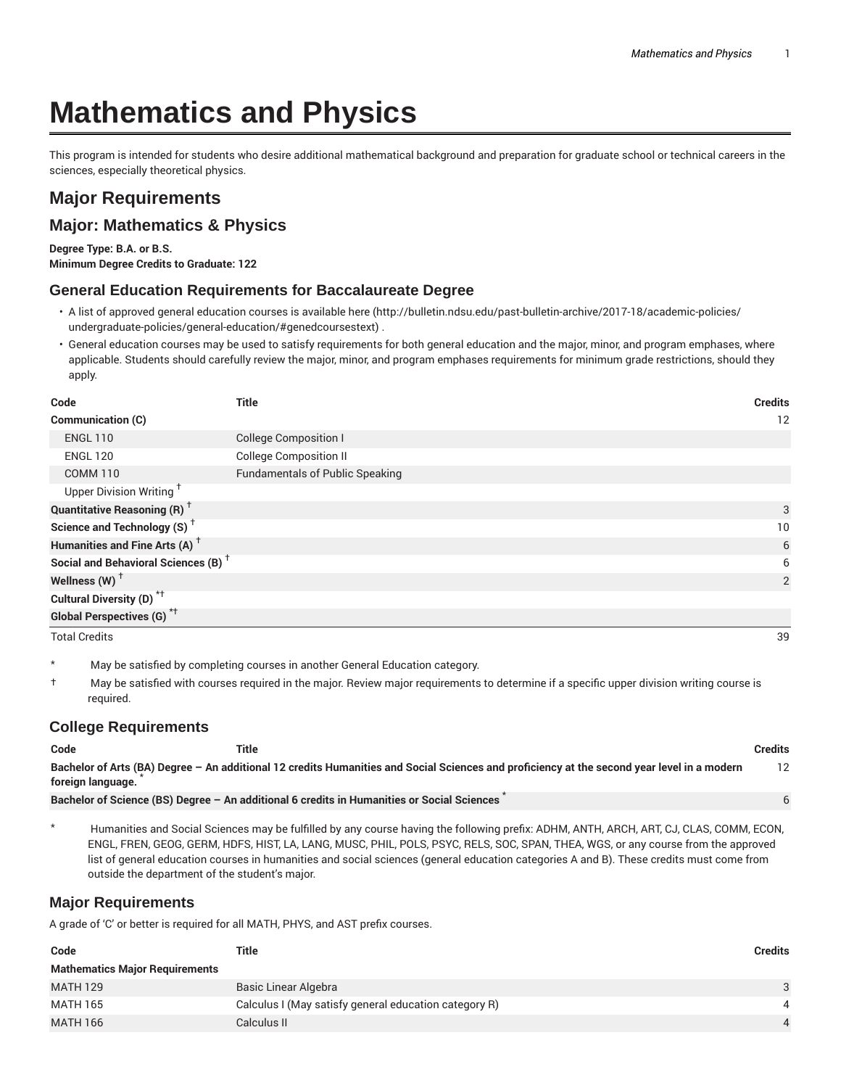# **Mathematics and Physics**

This program is intended for students who desire additional mathematical background and preparation for graduate school or technical careers in the sciences, especially theoretical physics.

## **Major Requirements**

### **Major: Mathematics & Physics**

**Degree Type: B.A. or B.S. Minimum Degree Credits to Graduate: 122**

#### **General Education Requirements for Baccalaureate Degree**

- A list of approved general education courses is available here (http://bulletin.ndsu.edu/past-bulletin-archive/2017-18/academic-policies/ undergraduate-policies/general-education/#genedcoursestext) .
- General education courses may be used to satisfy requirements for both general education and the major, minor, and program emphases, where applicable. Students should carefully review the major, minor, and program emphases requirements for minimum grade restrictions, should they apply.

| Code                                            | <b>Title</b>                           | <b>Credits</b> |
|-------------------------------------------------|----------------------------------------|----------------|
| <b>Communication (C)</b>                        |                                        | 12             |
| <b>ENGL 110</b>                                 | <b>College Composition I</b>           |                |
| <b>ENGL 120</b>                                 | <b>College Composition II</b>          |                |
| <b>COMM 110</b>                                 | <b>Fundamentals of Public Speaking</b> |                |
| Upper Division Writing <sup>†</sup>             |                                        |                |
| <b>Quantitative Reasoning (R)</b> <sup>†</sup>  |                                        | 3              |
| Science and Technology (S) <sup>+</sup>         |                                        | 10             |
| Humanities and Fine Arts (A) <sup>+</sup>       |                                        | 6              |
| Social and Behavioral Sciences (B) <sup>+</sup> |                                        | 6              |
| Wellness $(W)$ <sup>+</sup>                     |                                        | $\overline{2}$ |
| Cultural Diversity (D) <sup>*†</sup>            |                                        |                |
| <b>Global Perspectives (G)</b> * <sup>†</sup>   |                                        |                |
| <b>Total Credits</b>                            |                                        | 39             |

\* May be satisfied by completing courses in another General Education category.

† May be satisfied with courses required in the major. Review major requirements to determine if a specific upper division writing course is required.

#### **College Requirements**

| Code              | Title                                                                                                                                       | Credits |
|-------------------|---------------------------------------------------------------------------------------------------------------------------------------------|---------|
| foreign language. | Bachelor of Arts (BA) Degree - An additional 12 credits Humanities and Social Sciences and proficiency at the second year level in a modern | 12      |
|                   | Bachelor of Science (BS) Degree - An additional 6 credits in Humanities or Social Sciences                                                  |         |

\* Humanities and Social Sciences may be fulfilled by any course having the following prefix: ADHM, ANTH, ARCH, ART, CJ, CLAS, COMM, ECON, ENGL, FREN, GEOG, GERM, HDFS, HIST, LA, LANG, MUSC, PHIL, POLS, PSYC, RELS, SOC, SPAN, THEA, WGS, or any course from the approved list of general education courses in humanities and social sciences (general education categories A and B). These credits must come from outside the department of the student's major.

#### **Major Requirements**

A grade of 'C' or better is required for all MATH, PHYS, and AST prefix courses.

| Code                                  | Title                                                 | Credits        |
|---------------------------------------|-------------------------------------------------------|----------------|
| <b>Mathematics Major Requirements</b> |                                                       |                |
| <b>MATH 129</b>                       | Basic Linear Algebra                                  | $\mathbf{3}$   |
| <b>MATH 165</b>                       | Calculus I (May satisfy general education category R) | $\overline{4}$ |
| <b>MATH 166</b>                       | Calculus II                                           |                |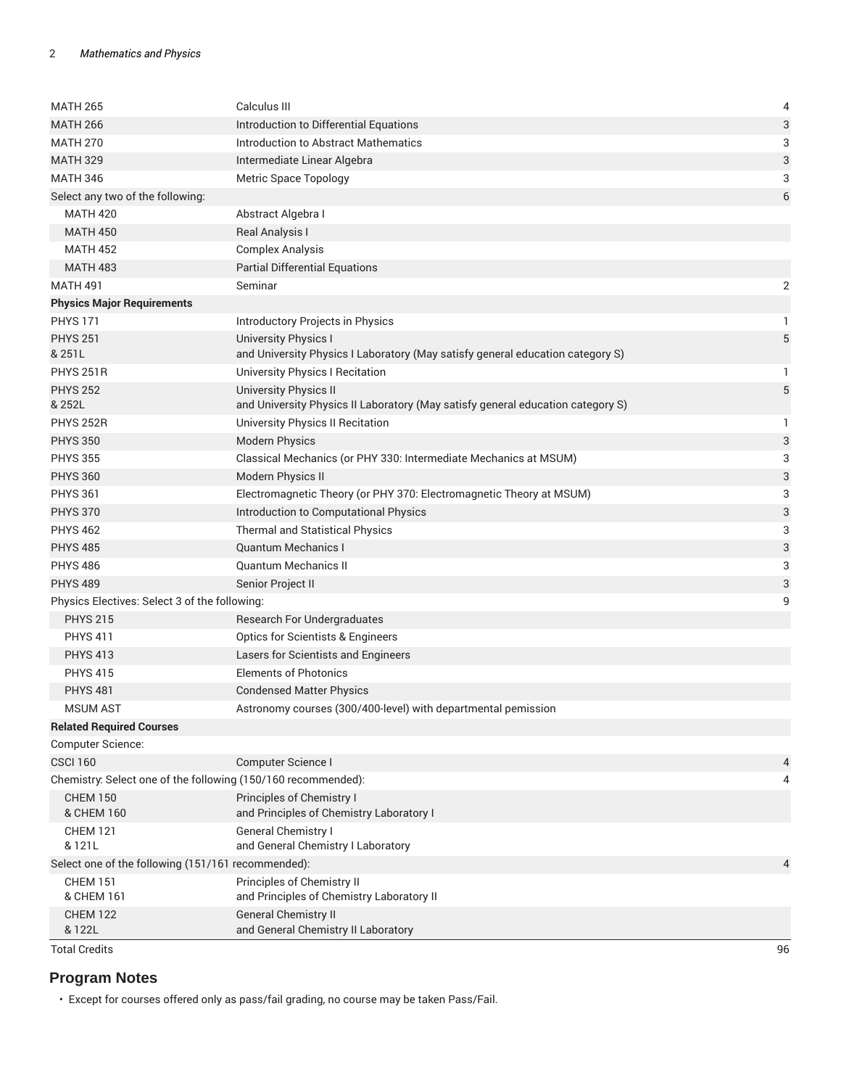| <b>MATH 265</b>                                               | Calculus III                                                                    | 4                         |
|---------------------------------------------------------------|---------------------------------------------------------------------------------|---------------------------|
| <b>MATH 266</b>                                               | Introduction to Differential Equations                                          | 3                         |
| <b>MATH 270</b>                                               | Introduction to Abstract Mathematics                                            | 3                         |
| <b>MATH 329</b>                                               | Intermediate Linear Algebra                                                     | 3                         |
| <b>MATH 346</b>                                               | <b>Metric Space Topology</b>                                                    | 3                         |
| Select any two of the following:                              |                                                                                 | $6\phantom{1}$            |
| <b>MATH 420</b>                                               | Abstract Algebra I                                                              |                           |
| <b>MATH 450</b>                                               | Real Analysis I                                                                 |                           |
| <b>MATH 452</b>                                               | <b>Complex Analysis</b>                                                         |                           |
| <b>MATH 483</b>                                               | <b>Partial Differential Equations</b>                                           |                           |
| <b>MATH 491</b>                                               | Seminar                                                                         | $\overline{2}$            |
| <b>Physics Major Requirements</b>                             |                                                                                 |                           |
| <b>PHYS 171</b>                                               | Introductory Projects in Physics                                                | 1                         |
| <b>PHYS 251</b>                                               | <b>University Physics I</b>                                                     | 5                         |
| & 251L                                                        | and University Physics I Laboratory (May satisfy general education category S)  |                           |
| <b>PHYS 251R</b>                                              | University Physics I Recitation                                                 | 1                         |
| <b>PHYS 252</b>                                               | <b>University Physics II</b>                                                    | $\sqrt{5}$                |
| & 252L                                                        | and University Physics II Laboratory (May satisfy general education category S) |                           |
| <b>PHYS 252R</b>                                              | University Physics II Recitation                                                | 1                         |
| <b>PHYS 350</b>                                               | <b>Modern Physics</b>                                                           | $\ensuremath{\mathsf{3}}$ |
| <b>PHYS 355</b>                                               | Classical Mechanics (or PHY 330: Intermediate Mechanics at MSUM)                | 3                         |
| <b>PHYS 360</b>                                               | Modern Physics II                                                               | $\ensuremath{\mathsf{3}}$ |
| <b>PHYS 361</b>                                               | Electromagnetic Theory (or PHY 370: Electromagnetic Theory at MSUM)             | 3                         |
| <b>PHYS 370</b>                                               | Introduction to Computational Physics                                           | 3                         |
| <b>PHYS 462</b>                                               | <b>Thermal and Statistical Physics</b>                                          | 3                         |
| <b>PHYS 485</b>                                               | <b>Quantum Mechanics I</b>                                                      | 3                         |
| <b>PHYS 486</b>                                               | <b>Quantum Mechanics II</b>                                                     | 3                         |
| <b>PHYS 489</b>                                               | Senior Project II                                                               | 3                         |
| Physics Electives: Select 3 of the following:                 |                                                                                 | 9                         |
| <b>PHYS 215</b>                                               | Research For Undergraduates                                                     |                           |
| <b>PHYS 411</b>                                               | <b>Optics for Scientists &amp; Engineers</b>                                    |                           |
| <b>PHYS 413</b>                                               | Lasers for Scientists and Engineers                                             |                           |
| <b>PHYS 415</b>                                               | <b>Elements of Photonics</b>                                                    |                           |
| <b>PHYS 481</b>                                               | <b>Condensed Matter Physics</b>                                                 |                           |
| <b>MSUM AST</b>                                               | Astronomy courses (300/400-level) with departmental pemission                   |                           |
|                                                               |                                                                                 |                           |
| <b>Related Required Courses</b><br>Computer Science:          |                                                                                 |                           |
| <b>CSCI 160</b>                                               | Computer Science I                                                              |                           |
|                                                               |                                                                                 | 4                         |
| Chemistry: Select one of the following (150/160 recommended): |                                                                                 | 4                         |
| <b>CHEM 150</b><br>& CHEM 160                                 | Principles of Chemistry I<br>and Principles of Chemistry Laboratory I           |                           |
| <b>CHEM 121</b><br>& 121L                                     | <b>General Chemistry I</b><br>and General Chemistry I Laboratory                |                           |
| Select one of the following (151/161 recommended):            |                                                                                 | $\overline{4}$            |
| <b>CHEM 151</b>                                               | Principles of Chemistry II                                                      |                           |
| & CHEM 161                                                    | and Principles of Chemistry Laboratory II                                       |                           |
| <b>CHEM 122</b>                                               | <b>General Chemistry II</b>                                                     |                           |
| & 122L                                                        | and General Chemistry II Laboratory                                             |                           |
| <b>Total Credits</b>                                          |                                                                                 | 96                        |

## **Program Notes**

• Except for courses offered only as pass/fail grading, no course may be taken Pass/Fail.